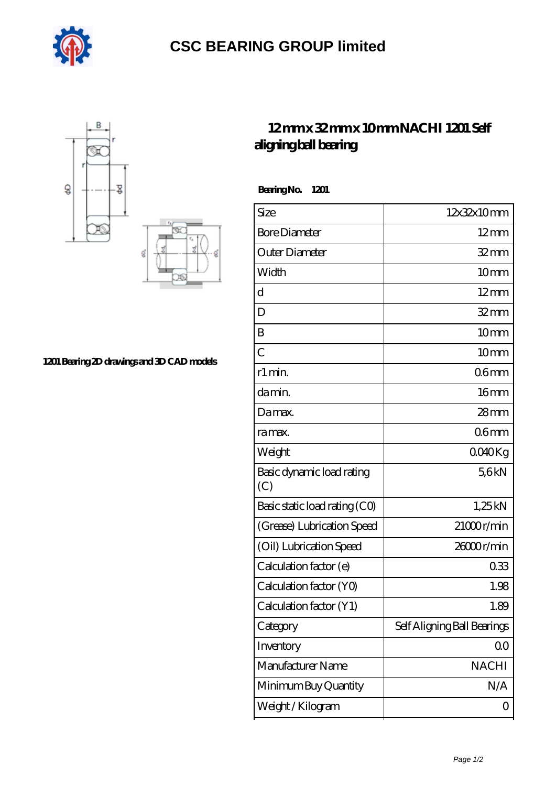

## **[CSC BEARING GROUP limited](https://augustinusga.com)**



## **[1201 Bearing 2D drawings and 3D CAD models](https://augustinusga.com/pic-65109952.html)**

## **[12 mm x 32 mm x 10 mm NACHI 1201 Self](https://augustinusga.com/nachi-1201-bearing/) [aligning ball bearing](https://augustinusga.com/nachi-1201-bearing/)**

 **Bearing No. 1201**

| <b>Bore Diameter</b><br>$12 \text{mm}$<br>Outer Diameter<br>$32$ mm<br>Width<br>10 <sub>mm</sub><br>d<br>$12 \text{mm}$<br>$32 \, \text{mm}$<br>D<br>Β<br>10 <sub>mm</sub><br>$\overline{C}$<br>10 <sub>mm</sub><br>r1 min.<br>06 <sub>mm</sub><br>16 <sub>mm</sub><br>da min.<br>$28 \text{mm}$<br>Damax.<br>06 <sub>mm</sub><br>ra max.<br>Weight<br>0040Kg<br>Basic dynamic load rating<br>56kN<br>(C)<br>Basic static load rating (CO)<br>1,25kN<br>$21000$ r/min<br>(Grease) Lubrication Speed<br>(Oil) Lubrication Speed<br>26000r/min<br>Calculation factor (e)<br>033<br>Calculation factor (YO)<br>1.98<br>Calculation factor (Y1)<br>1.89<br>Self Aligning Ball Bearings<br>Category<br>Inventory<br>00<br>Manufacturer Name<br><b>NACHI</b><br>N/A<br>Minimum Buy Quantity<br>Weight/Kilogram<br>0 | Size | 12x32x10mm |
|---------------------------------------------------------------------------------------------------------------------------------------------------------------------------------------------------------------------------------------------------------------------------------------------------------------------------------------------------------------------------------------------------------------------------------------------------------------------------------------------------------------------------------------------------------------------------------------------------------------------------------------------------------------------------------------------------------------------------------------------------------------------------------------------------------------|------|------------|
|                                                                                                                                                                                                                                                                                                                                                                                                                                                                                                                                                                                                                                                                                                                                                                                                               |      |            |
|                                                                                                                                                                                                                                                                                                                                                                                                                                                                                                                                                                                                                                                                                                                                                                                                               |      |            |
|                                                                                                                                                                                                                                                                                                                                                                                                                                                                                                                                                                                                                                                                                                                                                                                                               |      |            |
|                                                                                                                                                                                                                                                                                                                                                                                                                                                                                                                                                                                                                                                                                                                                                                                                               |      |            |
|                                                                                                                                                                                                                                                                                                                                                                                                                                                                                                                                                                                                                                                                                                                                                                                                               |      |            |
|                                                                                                                                                                                                                                                                                                                                                                                                                                                                                                                                                                                                                                                                                                                                                                                                               |      |            |
|                                                                                                                                                                                                                                                                                                                                                                                                                                                                                                                                                                                                                                                                                                                                                                                                               |      |            |
|                                                                                                                                                                                                                                                                                                                                                                                                                                                                                                                                                                                                                                                                                                                                                                                                               |      |            |
|                                                                                                                                                                                                                                                                                                                                                                                                                                                                                                                                                                                                                                                                                                                                                                                                               |      |            |
|                                                                                                                                                                                                                                                                                                                                                                                                                                                                                                                                                                                                                                                                                                                                                                                                               |      |            |
|                                                                                                                                                                                                                                                                                                                                                                                                                                                                                                                                                                                                                                                                                                                                                                                                               |      |            |
|                                                                                                                                                                                                                                                                                                                                                                                                                                                                                                                                                                                                                                                                                                                                                                                                               |      |            |
|                                                                                                                                                                                                                                                                                                                                                                                                                                                                                                                                                                                                                                                                                                                                                                                                               |      |            |
|                                                                                                                                                                                                                                                                                                                                                                                                                                                                                                                                                                                                                                                                                                                                                                                                               |      |            |
|                                                                                                                                                                                                                                                                                                                                                                                                                                                                                                                                                                                                                                                                                                                                                                                                               |      |            |
|                                                                                                                                                                                                                                                                                                                                                                                                                                                                                                                                                                                                                                                                                                                                                                                                               |      |            |
|                                                                                                                                                                                                                                                                                                                                                                                                                                                                                                                                                                                                                                                                                                                                                                                                               |      |            |
|                                                                                                                                                                                                                                                                                                                                                                                                                                                                                                                                                                                                                                                                                                                                                                                                               |      |            |
|                                                                                                                                                                                                                                                                                                                                                                                                                                                                                                                                                                                                                                                                                                                                                                                                               |      |            |
|                                                                                                                                                                                                                                                                                                                                                                                                                                                                                                                                                                                                                                                                                                                                                                                                               |      |            |
|                                                                                                                                                                                                                                                                                                                                                                                                                                                                                                                                                                                                                                                                                                                                                                                                               |      |            |
|                                                                                                                                                                                                                                                                                                                                                                                                                                                                                                                                                                                                                                                                                                                                                                                                               |      |            |
|                                                                                                                                                                                                                                                                                                                                                                                                                                                                                                                                                                                                                                                                                                                                                                                                               |      |            |
|                                                                                                                                                                                                                                                                                                                                                                                                                                                                                                                                                                                                                                                                                                                                                                                                               |      |            |